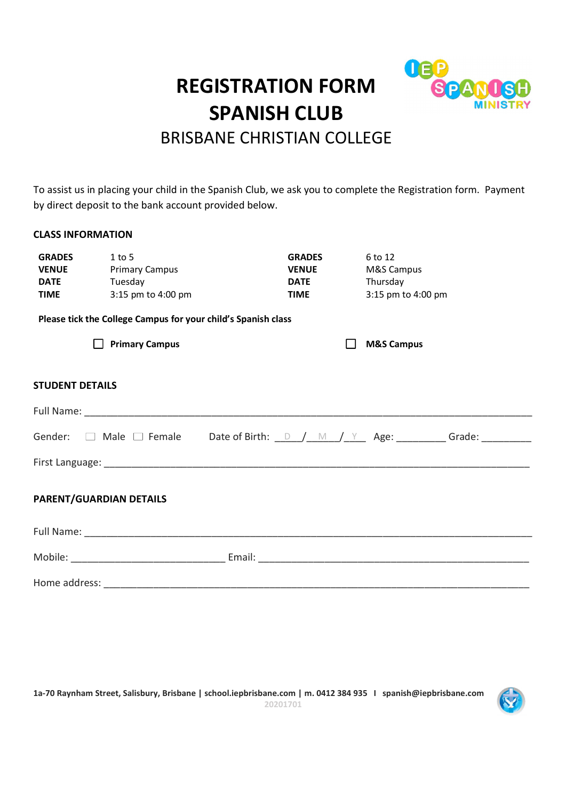# REGISTRATION FORM SPA SPANISH CLUB



# BRISBANE CHRISTIAN COLLEGE

To assist us in placing your child in the Spanish Club, we ask you to complete the Registration form. Payment by direct deposit to the bank account provided below.

## CLASS INFORMATION

| <b>GRADES</b>          | $1$ to 5                                                      | <b>GRADES</b> | 6 to 12                                                                                                     |  |
|------------------------|---------------------------------------------------------------|---------------|-------------------------------------------------------------------------------------------------------------|--|
| <b>VENUE</b>           | <b>Primary Campus</b>                                         | <b>VENUE</b>  | M&S Campus                                                                                                  |  |
| <b>DATE</b>            | Tuesday                                                       | <b>DATE</b>   | Thursday                                                                                                    |  |
| <b>TIME</b>            | 3:15 pm to 4:00 pm                                            | <b>TIME</b>   | 3:15 pm to 4:00 pm                                                                                          |  |
|                        | Please tick the College Campus for your child's Spanish class |               |                                                                                                             |  |
|                        | <b>Primary Campus</b>                                         |               | <b>M&amp;S Campus</b>                                                                                       |  |
| <b>STUDENT DETAILS</b> |                                                               |               |                                                                                                             |  |
|                        |                                                               |               |                                                                                                             |  |
|                        |                                                               |               | Gender: $\Box$ Male $\Box$ Female Date of Birth: $\Box$ $\Box$ $\Box$ $\Box$ Age: _________ Grade: ________ |  |
|                        |                                                               |               |                                                                                                             |  |
|                        | PARENT/GUARDIAN DETAILS                                       |               |                                                                                                             |  |
|                        |                                                               |               |                                                                                                             |  |
|                        |                                                               |               |                                                                                                             |  |
|                        |                                                               |               |                                                                                                             |  |